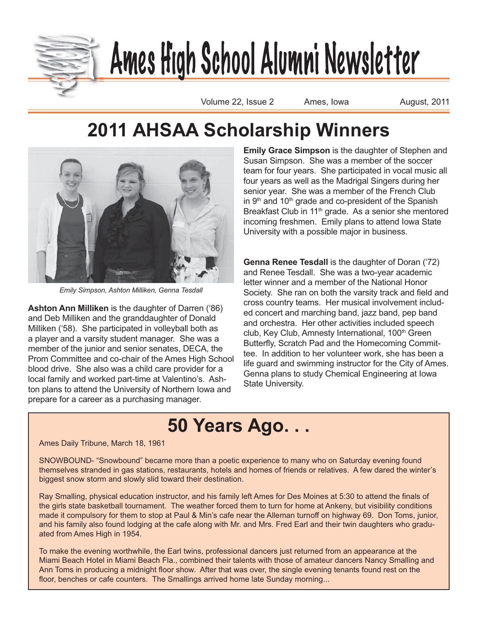

# <u>Ames High School Alumni Newsletter</u>

Volume 22, Issue 2 Ames, Iowa **August, 2011** 

### **2011 AHSAA Scholarship Winners**



*Emily Simpson, Ashton Milliken, Genna Tesdall*

**Ashton Ann Milliken** is the daughter of Darren ('86) and Deb Milliken and the granddaughter of Donald Milliken ('58). She participated in volleyball both as a player and a varsity student manager. She was a member of the junior and senior senates, DECA, the Prom Committee and co-chair of the Ames High School blood drive. She also was a child care provider for a local family and worked part-time at Valentino's. Ashton plans to attend the University of Northern Iowa and prepare for a career as a purchasing manager.

**Emily Grace Simpson** is the daughter of Stephen and Susan Simpson. She was a member of the soccer team for four years. She participated in vocal music all four years as well as the Madrigal Singers during her senior year. She was a member of the French Club in  $9<sup>th</sup>$  and  $10<sup>th</sup>$  grade and co-president of the Spanish Breakfast Club in 11<sup>th</sup> grade. As a senior she mentored incoming freshmen. Emily plans to attend Iowa State University with a possible major in business.

**Genna Renee Tesdall** is the daughter of Doran ('72) and Renee Tesdall. She was a two-year academic letter winner and a member of the National Honor Society. She ran on both the varsity track and field and cross country teams. Her musical involvement included concert and marching band, jazz band, pep band and orchestra. Her other activities included speech club, Key Club, Amnesty International, 100<sup>th</sup> Green Butterfly, Scratch Pad and the Homecoming Committee. In addition to her volunteer work, she has been a life guard and swimming instructor for the City of Ames. Genna plans to study Chemical Engineering at Iowa State University.

## **50 Years Ago. . .**

#### Ames Daily Tribune, March 18, 1961

SNOWBOUND- "Snowbound" became more than a poetic experience to many who on Saturday evening found themselves stranded in gas stations, restaurants, hotels and homes of friends or relatives. A few dared the winter's biggest snow storm and slowly slid toward their destination.

Ray Smalling, physical education instructor, and his family left Ames for Des Moines at 5:30 to attend the finals of the girls state basketball tournament. The weather forced them to turn for home at Ankeny, but visibility conditions made it compulsory for them to stop at Paul & Min's cafe near the Alleman turnoff on highway 69. Don Toms, junior, and his family also found lodging at the cafe along with Mr. and Mrs. Fred Earl and their twin daughters who graduated from Ames High in 1954.

To make the evening worthwhile, the Earl twins, professional dancers just returned from an appearance at the Miami Beach Hotel in Miami Beach Fla., combined their talents with those of amateur dancers Nancy Smalling and Ann Toms in producing a midnight floor show. After that was over, the single evening tenants found rest on the floor, benches or cafe counters. The Smallings arrived home late Sunday morning...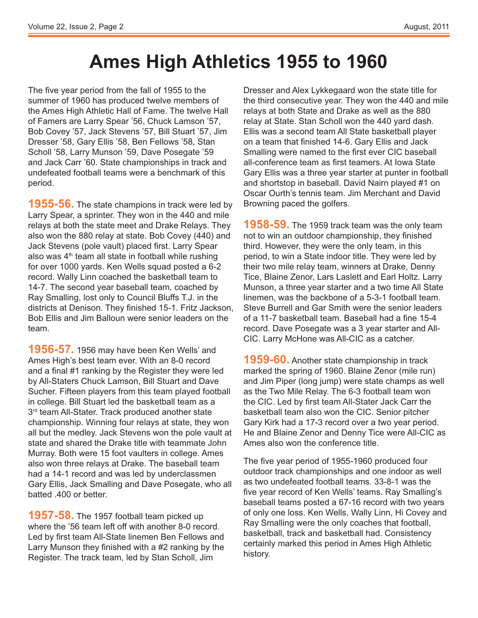### **Ames High Athletics 1955 to 1960**

The five year period from the fall of 1955 to the summer of 1960 has produced twelve members of the Ames High Athletic Hall of Fame. The twelve Hall of Famers are Larry Spear '56, Chuck Lamson '57, Bob Covey '57, Jack Stevens '57, Bill Stuart '57, Jim Dresser '58, Gary Ellis '58, Ben Fellows '58, Stan Scholl '58, Larry Munson '59, Dave Posegate '59 and Jack Carr '60. State championships in track and undefeated football teams were a benchmark of this period.

**1955-56.** The state champions in track were led by Larry Spear, a sprinter. They won in the 440 and mile relays at both the state meet and Drake Relays. They also won the 880 relay at state. Bob Covey (440) and Jack Stevens (pole vault) placed first. Larry Spear also was  $4<sup>th</sup>$  team all state in football while rushing for over 1000 yards. Ken Wells squad posted a 6-2 record. Wally Linn coached the basketball team to 14-7. The second year baseball team, coached by Ray Smalling, lost only to Council Bluffs T.J. in the districts at Denison. They finished 15-1. Fritz Jackson, Bob Ellis and Jim Balloun were senior leaders on the team.

**1956-57.** 1956 may have been Ken Wells' and Ames High's best team ever. With an 8-0 record and a final #1 ranking by the Register they were led by All-Staters Chuck Lamson, Bill Stuart and Dave Sucher. Fifteen players from this team played football in college. Bill Stuart led the basketball team as a 3<sup>rd</sup> team All-Stater. Track produced another state championship. Winning four relays at state, they won all but the medley. Jack Stevens won the pole vault at state and shared the Drake title with teammate John Murray. Both were 15 foot vaulters in college. Ames also won three relays at Drake. The baseball team had a 14-1 record and was led by underclassmen Gary Ellis, Jack Smalling and Dave Posegate, who all batted .400 or better.

**1957-58.** The 1957 football team picked up where the '56 team left off with another 8-0 record. Led by first team All-State linemen Ben Fellows and Larry Munson they finished with a #2 ranking by the Register. The track team, led by Stan Scholl, Jim

Dresser and Alex Lykkegaard won the state title for the third consecutive year. They won the 440 and mile relays at both State and Drake as well as the 880 relay at State. Stan Scholl won the 440 yard dash. Ellis was a second team All State basketball player on a team that finished 14-6. Gary Ellis and Jack Smalling were named to the first ever CIC baseball all-conference team as first teamers. At Iowa State Gary Ellis was a three year starter at punter in football and shortstop in baseball. David Nairn played #1 on Oscar Ourth's tennis team. Jim Merchant and David Browning paced the golfers.

**1958-59.** The 1959 track team was the only team not to win an outdoor championship, they finished third. However, they were the only team, in this period, to win a State indoor title. They were led by their two mile relay team, winners at Drake, Denny Tice, Blaine Zenor, Lars Laslett and Earl Holtz. Larry Munson, a three year starter and a two time All State linemen, was the backbone of a 5-3-1 football team. Steve Burrell and Gar Smith were the senior leaders of a 11-7 basketball team. Baseball had a fine 15-4 record. Dave Posegate was a 3 year starter and All-CIC. Larry McHone was All-CIC as a catcher.

**1959-60.** Another state championship in track marked the spring of 1960. Blaine Zenor (mile run) and Jim Piper (long jump) were state champs as well as the Two Mile Relay. The 6-3 football team won the CIC. Led by first team All-Stater Jack Carr the basketball team also won the CIC. Senior pitcher Gary Kirk had a 17-3 record over a two year period. He and Blaine Zenor and Denny Tice were All-CIC as Ames also won the conference title.

The five year period of 1955-1960 produced four outdoor track championships and one indoor as well as two undefeated football teams. 33-8-1 was the five year record of Ken Wells' teams. Ray Smalling's baseball teams posted a 67-16 record with two years of only one loss. Ken Wells, Wally Linn, Hi Covey and Ray Smalling were the only coaches that football, basketball, track and basketball had. Consistency certainly marked this period in Ames High Athletic history.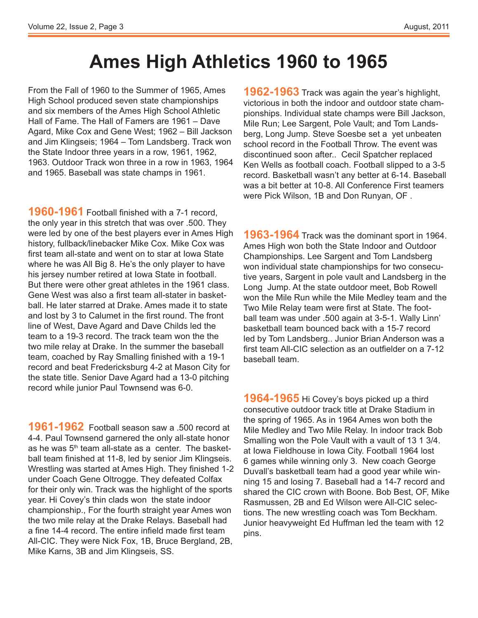### **Ames High Athletics 1960 to 1965**

From the Fall of 1960 to the Summer of 1965, Ames High School produced seven state championships and six members of the Ames High School Athletic Hall of Fame. The Hall of Famers are 1961 – Dave Agard, Mike Cox and Gene West; 1962 – Bill Jackson and Jim Klingseis; 1964 – Tom Landsberg. Track won the State Indoor three years in a row, 1961, 1962, 1963. Outdoor Track won three in a row in 1963, 1964 and 1965. Baseball was state champs in 1961.

**1960-1961** Football finished with a 7-1 record, the only year in this stretch that was over .500. They were led by one of the best players ever in Ames High history, fullback/linebacker Mike Cox. Mike Cox was first team all-state and went on to star at Iowa State where he was All Big 8. He's the only player to have his jersey number retired at Iowa State in football. But there were other great athletes in the 1961 class. Gene West was also a first team all-stater in basketball. He later starred at Drake. Ames made it to state and lost by 3 to Calumet in the first round. The front line of West, Dave Agard and Dave Childs led the team to a 19-3 record. The track team won the the two mile relay at Drake. In the summer the baseball team, coached by Ray Smalling finished with a 19-1 record and beat Fredericksburg 4-2 at Mason City for the state title. Senior Dave Agard had a 13-0 pitching record while junior Paul Townsend was 6-0.

**1961-1962** Football season saw a .500 record at 4-4. Paul Townsend garnered the only all-state honor as he was  $5<sup>th</sup>$  team all-state as a center. The basketball team finished at 11-8, led by senior Jim Klingseis. Wrestling was started at Ames High. They finished 1-2 under Coach Gene Oltrogge. They defeated Colfax for their only win. Track was the highlight of the sports year. Hi Covey's thin clads won the state indoor championship., For the fourth straight year Ames won the two mile relay at the Drake Relays. Baseball had a fine 14-4 record. The entire infield made first team All-CIC. They were Nick Fox, 1B, Bruce Bergland, 2B, Mike Karns, 3B and Jim Klingseis, SS.

**1962-1963** Track was again the year's highlight, victorious in both the indoor and outdoor state championships. Individual state champs were Bill Jackson, Mile Run; Lee Sargent, Pole Vault; and Tom Landsberg, Long Jump. Steve Soesbe set a yet unbeaten school record in the Football Throw. The event was discontinued soon after.. Cecil Spatcher replaced Ken Wells as football coach. Football slipped to a 3-5 record. Basketball wasn't any better at 6-14. Baseball was a bit better at 10-8. All Conference First teamers were Pick Wilson, 1B and Don Runyan, OF .

**1963-1964** Track was the dominant sport in 1964. Ames High won both the State Indoor and Outdoor Championships. Lee Sargent and Tom Landsberg won individual state championships for two consecutive years, Sargent in pole vault and Landsberg in the Long Jump. At the state outdoor meet, Bob Rowell won the Mile Run while the Mile Medley team and the Two Mile Relay team were first at State. The football team was under .500 again at 3-5-1. Wally Linn' basketball team bounced back with a 15-7 record led by Tom Landsberg.. Junior Brian Anderson was a first team All-CIC selection as an outfielder on a 7-12 baseball team.

**1964-1965** Hi Covey's boys picked up a third consecutive outdoor track title at Drake Stadium in the spring of 1965. As in 1964 Ames won both the Mile Medley and Two Mile Relay. In indoor track Bob Smalling won the Pole Vault with a vault of 13 1 3/4. at Iowa Fieldhouse in Iowa City. Football 1964 lost 6 games while winning only 3. New coach George Duvall's basketball team had a good year while winning 15 and losing 7. Baseball had a 14-7 record and shared the CIC crown with Boone. Bob Best, OF, Mike Rasmussen, 2B and Ed Wilson were All-CIC selections. The new wrestling coach was Tom Beckham. Junior heavyweight Ed Huffman led the team with 12 pins.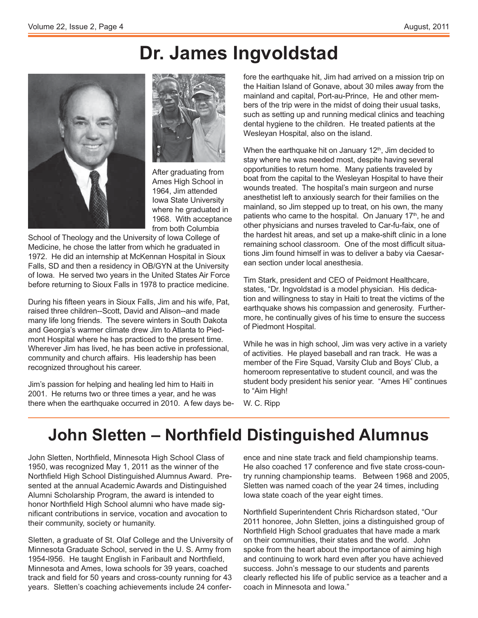### **Dr. James Ingvoldstad**





After graduating from Ames High School in 1964, Jim attended Iowa State University where he graduated in 1968. With acceptance from both Columbia

School of Theology and the University of Iowa College of Medicine, he chose the latter from which he graduated in 1972. He did an internship at McKennan Hospital in Sioux Falls, SD and then a residency in OB/GYN at the University of Iowa. He served two years in the United States Air Force before returning to Sioux Falls in 1978 to practice medicine.

During his fifteen years in Sioux Falls, Jim and his wife, Pat, raised three children--Scott, David and Alison--and made many life long friends. The severe winters in South Dakota and Georgia's warmer climate drew Jim to Atlanta to Piedmont Hospital where he has practiced to the present time. Wherever Jim has lived, he has been active in professional, community and church affairs. His leadership has been recognized throughout his career.

Jim's passion for helping and healing led him to Haiti in 2001. He returns two or three times a year, and he was there when the earthquake occurred in 2010. A few days before the earthquake hit, Jim had arrived on a mission trip on the Haitian Island of Gonave, about 30 miles away from the mainland and capital, Port-au-Prince, He and other members of the trip were in the midst of doing their usual tasks, such as setting up and running medical clinics and teaching dental hygiene to the children. He treated patients at the Wesleyan Hospital, also on the island.

When the earthquake hit on January  $12<sup>th</sup>$ , Jim decided to stay where he was needed most, despite having several opportunities to return home. Many patients traveled by boat from the capital to the Wesleyan Hospital to have their wounds treated. The hospital's main surgeon and nurse anesthetist left to anxiously search for their families on the mainland, so Jim stepped up to treat, on his own, the many patients who came to the hospital. On January 17<sup>th</sup>, he and other physicians and nurses traveled to Car-fu-faix, one of the hardest hit areas, and set up a make-shift clinic in a lone remaining school classroom. One of the most difficult situations Jim found himself in was to deliver a baby via Caesarean section under local anesthesia.

Tim Stark, president and CEO of Peidmont Healthcare, states, "Dr. Ingvoldstad is a model physician. His dedication and willingness to stay in Haiti to treat the victims of the earthquake shows his compassion and generosity. Furthermore, he continually gives of his time to ensure the success of Piedmont Hospital.

While he was in high school, Jim was very active in a variety of activities. He played baseball and ran track. He was a member of the Fire Squad, Varsity Club and Boys' Club, a homeroom representative to student council, and was the student body president his senior year. "Ames Hi" continues to "Aim High!

W. C. Ripp

### $\lambda$  John Sletten – Northfield Distinguished Alumnus

John Sletten, Northfield, Minnesota High School Class of 1950, was recognized May 1, 2011 as the winner of the Northfield High School Distinguished Alumnus Award. Presented at the annual Academic Awards and Distinguished Alumni Scholarship Program, the award is intended to honor Northfield High School alumni who have made significant contributions in service, vocation and avocation to their community, society or humanity.

Sletten, a graduate of St. Olaf College and the University of Minnesota Graduate School, served in the U. S. Army from 1954-1956. He taught English in Faribault and Northfield, Minnesota and Ames, Iowa schools for 39 years, coached track and field for 50 years and cross-county running for 43 years. Sletten's coaching achievements include 24 conference and nine state track and field championship teams. He also coached 17 conference and five state cross-country running championship teams. Between 1968 and 2005, Sletten was named coach of the year 24 times, including Iowa state coach of the year eight times.

Northfield Superintendent Chris Richardson stated, "Our 2011 honoree, John Sletten, joins a distinguished group of Northfield High School graduates that have made a mark on their communities, their states and the world. John spoke from the heart about the importance of aiming high and continuing to work hard even after you have achieved success. John's message to our students and parents clearly reflected his life of public service as a teacher and a coach in Minnesota and Iowa."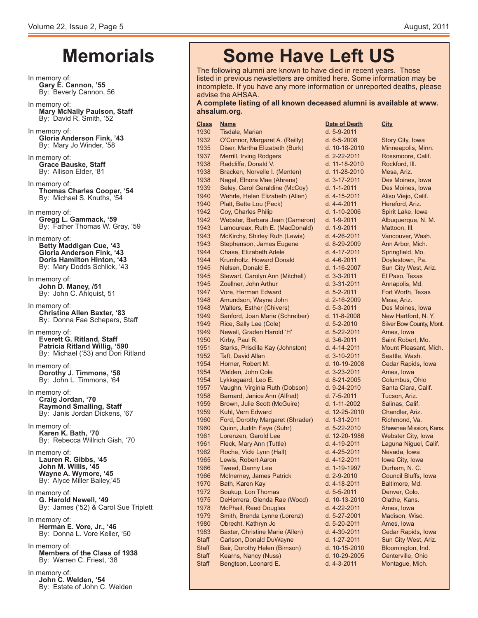### **Memorials**

- In memory of: **Gary E. Cannon, '55** By: Beverly Cannon, 56 In memory of: **Mary McNally Paulson, Staff** By: David R. Smith, '52 In memory of: **Gloria Anderson Fink, '43** By: Mary Jo Winder, '58 In memory of: **Grace Bauske, Staff** By: Allison Elder, '81 In memory of: **Thomas Charles Cooper, '54** By: Michael S. Knuths, '54 In memory of: **Gregg L. Gammack, '59** By: Father Thomas W. Gray, '59 In memory of:<br>**Betty Maddigan Cue, '43 Gloria Anderson Fink, '43 Doris Hamilton Hinton, '43** By: Mary Dodds Schlick, '43 In memory of: **John D. Maney, /51** By: John C. Ahlquist, 51 In memory of: **Christine Allen Baxter, '83** By: Donna Fae Schepers, Staff In memory of: **Everett G. Ritland, Staff Patricia Ritland Willig, '590** By: Michael ('53) and Dori Ritland In memory of: **Dorothy J. Timmons, '58** By: John L. Timmons, '64 In memory of: **Craig Jordan, '70 Raymond Smalling, Staff** By: Janis Jordan Dickens, '67 In memory of: **Karen K. Bath, '70** By: Rebecca Willrich Gish, '70 In memory of: Lauren R. Gibbs, '45  **John M. Willis, '45 Wayne A. Wymore, '45**  By: Alyce Miller Bailey,'45 In memory of: **G. Harold Newell, '49** By: James ('52) & Carol Sue Triplett In memory of: **Herman E. Vore, Jr., '46** By: Donna L. Vore Keller, '50 In memory of: **Members of the Class of 1938** By: Warren C. Friest, '38
- In memory of: **John C. Welden, '54** By: Estate of John C. Welden

### **Some Have Left US**

The following alumni are known to have died in recent years. Those listed in previous newsletters are omitted here. Some information may be incomplete. If you have any more information or unreported deaths, please advise the AHSAA.

#### **A** complete listing of all known deceased alumni is available at www. ahsalum.org.

| <b>Class</b> | <u>Name</u>                      | <b>Date of Death</b> | <u>City</u>                   |
|--------------|----------------------------------|----------------------|-------------------------------|
| 1930         | Tisdale, Marian                  | d. 5-9-2011          |                               |
| 1932         | O'Connor, Margaret A. (Reilly)   | $d. 6 - 5 - 2008$    | Story City, Iowa              |
| 1935         | Diser, Martha Elizabeth (Burk)   | d. 10-18-2010        | Minneapolis, Minn.            |
| 1937         | Merrill, Irving Rodgers          | d. 2-22-2011         | Rossmoore, Calif.             |
| 1938         | Radcliffe, Donald V.             | d. 11-18-2010        | Rockford, III.                |
| 1938         | Bracken, Norvelle I. (Menten)    | d. 11-28-2010        | Mesa, Ariz.                   |
| 1938         | Nagel, Elnora Mae (Ahrens)       | d. 3-17-2011         | Des Moines, Iowa              |
| 1939         | Seley, Carol Geraldine (McCoy)   | d. 1-1-2011          | Des Moines, Iowa              |
| 1940         | Wehrle, Helen Elizabeth (Allen)  | d. 4-15-2011         | Aliso Viejo, Calif.           |
| 1940         | Platt, Bette Lou (Peck)          | d. 4-4-2011          | Hereford, Ariz.               |
| 1942         | Coy, Charles Philip              | d. 1-10-2006         | Spirit Lake, Iowa             |
| 1942         | Webster, Barbara Jean (Cameron)  | d. 1-9-2011          | Albuquerque, N. M.            |
| 1943         | Lamoureax, Ruth E. (MacDonald)   | d. 1-9-2011          | Mattoon, III.                 |
| 1943         | McKirchy, Shirley Ruth (Lewis)   | d. 4-26-2011         | Vancouver, Wash.              |
| 1943         | Stephenson, James Eugene         | d. 8-29-2009         | Ann Arbor, Mich.              |
| 1944         | Chase, Elizabeth Adele           | d. 4-17-2011         | Springfield, Mo.              |
| 1944         | Krumholtz, Howard Donald         | d. 4-6-2011          | Doylestown, Pa.               |
| 1945         | Nelsen, Donald E.                | d. 1-16-2007         | Sun City West, Ariz.          |
| 1945         | Stewart, Carolyn Ann (Mitchell)  | $d. 3 - 3 - 2011$    | El Paso, Texas                |
| 1945         | Zoellner, John Arthur            | d. 3-31-2011         | Annapolis, Md.                |
| 1947         | Vore, Herman Edward              | d. 5-2-2011          | Fort Worth, Texas             |
| 1948         | Amundson, Wayne John             | d. 2-16-2009         | Mesa, Ariz.                   |
| 1948         | Walters, Esther (Chivers)        | d. 5-3-2011          | Des Moines, Iowa              |
| 1949         | Sanford, Joan Marie (Schreiber)  | d. 11-8-2008         | New Hartford, N.Y.            |
| 1949         | Rice, Sally Lee (Cole)           | d. 5-2-2010          | <b>Silver Bow County, Mor</b> |
| 1949         | Newell, Graden Harold 'H'        | d. 5-22-2011         | Ames, Iowa                    |
| 1950         | Kirby, Paul R.                   | d. 3-6-2011          | Saint Robert, Mo.             |
| 1951         | Starks, Priscilla Kay (Johnston) | d. 4-14-2011         | <b>Mount Pleasant, Mich</b>   |
| 1952         | Taft, David Allan                | d. 3-10-2011         | Seattle, Wash.                |
| 1954         | Horner, Robert M.                | d. 10-19-2008        | Cedar Rapids, Iowa            |
| 1954         | Welden, John Cole                | d. 3-23-2011         | Ames, Iowa                    |
| 1954         | Lykkegaard, Leo E.               | d. 8-21-2005         | Columbus, Ohio                |
| 1957         | Vaughn, Virginia Ruth (Dobson)   | d. 9-24-2010         | Santa Clara, Calif.           |
| 1958         | Barnard, Janice Ann (Alfred)     | d. 7-5-2011          | Tucson, Ariz.                 |
| 1959         | Brown, Julie Scott (McGuire)     | d. 1-11-2002         | Salinas, Calif.               |
| 1959         | Kuhl, Vern Edward                | d. 12-25-2010        | Chandler, Ariz.               |
| 1960         | Ford, Dorothy Margaret (Shrader) | d. 1-31-2011         | Richmond, Va.                 |
| 1960         | Quinn, Judith Faye (Suhr)        | d. 5-22-2010         | <b>Shawnee Mission, Kan</b>   |
| 1961         | Lorenzen, Garold Lee             | d. 12-20-1986        | Webster City, Iowa            |
| 1961         | Fleck, Mary Ann (Tuttle)         | d. 4-19-2011         | Laguna Niguel, Calif.         |
| 1962         | Roche, Vicki Lynn (Hall)         | d. 4-25-2011         | Nevada, Iowa                  |
| 1965         | Lewis, Robert Aaron              | d. 4-12-2011         | Iowa City, Iowa               |
| 1966         | <b>Tweed, Danny Lee</b>          | d. 1-19-1997         | Durham, N.C.                  |
| 1966         | McInerney, James Patrick         | d. 2-9-2010          | Council Bluffs, Iowa          |
| 1970         | Bath, Karen Kay                  | d. 4-18-2011         | Baltimore, Md.                |
| 1972         | Soukup, Lon Thomas               | d. 5-5-2011          | Denver, Colo.                 |
| 1975         | DeHerrera, Glenda Rae (Wood)     | d. 10-13-2010        | Olathe, Kans.                 |
| 1978         | McPhail, Reed Douglas            | d. 4-22-2011         | Ames, Iowa                    |
| 1979         | Smith, Brenda Lynne (Lorenz)     | d. 5-27-2001         | Madison, Wisc.                |
| 1980         | Obrecht, Kathryn Jo              | d. 5-20-2011         | Ames, Iowa                    |
| 1983         | Baxter, Christine Marie (Allen)  | d. 4-30-2011         | Cedar Rapids, Iowa            |
| Staff        | Carlson, Donald DuWayne          | d. 1-27-2011         | Sun City West, Ariz.          |
| <b>Staff</b> | Bair, Dorothy Helen (Bimson)     | d. 10-15-2010        | Bloomington, Ind.             |
| <b>Staff</b> | Kearns, Nancy (Nuss)             | d. 10-29-2005        | Centerville, Ohio             |
| <b>Staff</b> | Bengtson, Leonard E.             | d. 4-3-2011          | Montague, Mich.               |
|              |                                  |                      |                               |

| <b>Date of Death</b> | <u>City</u>                   |
|----------------------|-------------------------------|
| d. 5-9-2011          |                               |
| $d. 6 - 5 - 2008$    | Story City, Iowa              |
| d. 10-18-2010        | Minneapolis, Minn.            |
| d. 2-22-2011         | Rossmoore, Calif.             |
| d. 11-18-2010        | Rockford, III.                |
| d. 11-28-2010        | Mesa, Ariz.                   |
| d. 3-17-2011         | Des Moines, Iowa              |
| d. 1-1-2011          | Des Moines, Iowa              |
| d. 4-15-2011         | Aliso Viejo, Calif.           |
| d. 4-4-2011          | Hereford, Ariz.               |
| d. 1-10-2006         | Spirit Lake, Iowa             |
| d. 1-9-2011          | Albuquerque, N. M.            |
| d. 1-9-2011          | Mattoon, III.                 |
| d. 4-26-2011         | Vancouver, Wash.              |
|                      |                               |
| d. 8-29-2009         | Ann Arbor, Mich.              |
| d. 4-17-2011         | Springfield, Mo.              |
| d. 4-6-2011          | Doylestown, Pa.               |
| d. 1-16-2007         | Sun City West, Ariz.          |
| d. 3-3-2011          | El Paso, Texas                |
| d. 3-31-2011         | Annapolis, Md.                |
| d. 5-2-2011          | Fort Worth, Texas             |
| d. 2-16-2009         | Mesa, Ariz.                   |
| d. 5-3-2011          | Des Moines, Iowa              |
| d. 11-8-2008         | New Hartford, N.Y.            |
| d. 5-2-2010          | Silver Bow County, Mont.      |
| d. 5-22-2011         | Ames, Iowa                    |
| d. 3-6-2011          | Saint Robert, Mo.             |
| d. 4-14-2011         | Mount Pleasant, Mich.         |
| d. 3-10-2011         | Seattle, Wash.                |
| d. 10-19-2008        | Cedar Rapids, Iowa            |
| d. 3-23-2011         | Ames, Iowa                    |
| d. 8-21-2005         | Columbus, Ohio                |
| d. 9-24-2010         | Santa Clara, Calif.           |
| d. 7-5-2011          | Tucson, Ariz.                 |
| d. 1-11-2002         | Salinas, Calif.               |
| d. 12-25-2010        | Chandler, Ariz.               |
| d. 1-31-2011         | Richmond, Va.                 |
| d. 5-22-2010         | <b>Shawnee Mission, Kans.</b> |
| d. 12-20-1986        | Webster City, Iowa            |
| d. 4-19-2011         | Laguna Niguel, Calif.         |
| d. 4-25-2011         | Nevada, Iowa                  |
| d. 4-12-2011         |                               |
|                      | Iowa City, Iowa               |
| d. 1-19-1997         | Durham, N. C.                 |
| d. 2-9-2010          | Council Bluffs, Iowa          |
| d. 4-18-2011         | Baltimore, Md.                |
| d. 5-5-2011          | Denver, Colo.                 |
| d. 10-13-2010        | Olathe, Kans.                 |
| d. 4-22-2011         | Ames, Iowa                    |
| d. 5-27-2001         | Madison, Wisc.                |
| d. 5-20-2011         | Ames, Iowa                    |
| d. 4-30-2011         | Cedar Rapids, Iowa            |
| d. 1-27-2011         | Sun City West, Ariz.          |
| d. 10-15-2010        | Bloomington, Ind.             |
| d. 10-29-2005        | Centerville, Ohio             |
| d. 4-3-2011          | Montague, Mich.               |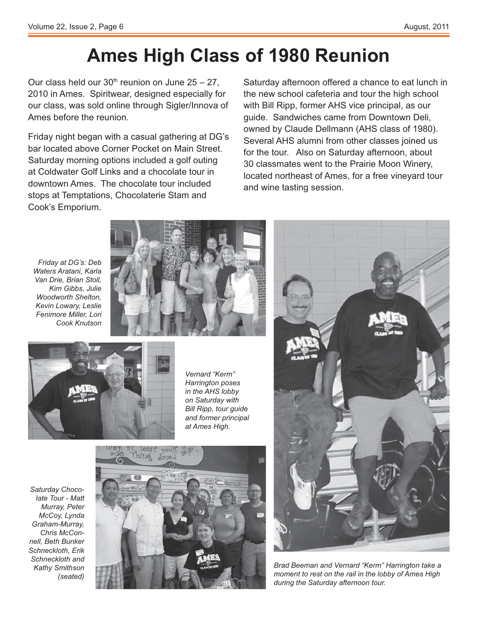### **Ames High Class of 1980 Reunion**

Our class held our  $30<sup>th</sup>$  reunion on June  $25 - 27$ . 2010 in Ames. Spiritwear, designed especially for our class, was sold online through Sigler/Innova of Ames before the reunion.

Friday night began with a casual gathering at DG's bar located above Corner Pocket on Main Street. Saturday morning options included a golf outing at Coldwater Golf Links and a chocolate tour in downtown Ames. The chocolate tour included stops at Temptations, Chocolaterie Stam and Cook's Emporium.

Saturday afternoon offered a chance to eat lunch in the new school cafeteria and tour the high school with Bill Ripp, former AHS vice principal, as our guide. Sandwiches came from Downtown Deli, owned by Claude Dellmann (AHS class of 1980). Several AHS alumni from other classes joined us for the tour. Also on Saturday afternoon, about 30 classmates went to the Prairie Moon Winery, located northeast of Ames, for a free vineyard tour and wine tasting session.

*Friday at DG's: Deb Waters Aratani, Karla Van Drie, Brian Stoll, Kim Gibbs, Julie Woodworth Shelton, Kevin Lowary, Leslie Fenimore Miller, Lori Cook Knutson*





*Vernard "Kerm" Harrington poses in the AHS lobby on Saturday with Bill Ripp, tour guide and former principal at Ames High.*

*Saturday Chocolate Tour - Matt Murray, Peter McCoy, Lynda Graham-Murray, Chris McConnell, Beth Bunker Schneckloth, Erik Schneckloth and Kathy Smithson (seated)*





*Brad Beeman and Vernard "Kerm" Harrington take a moment to rest on the rail in the lobby of Ames High during the Saturday afternoon tour.*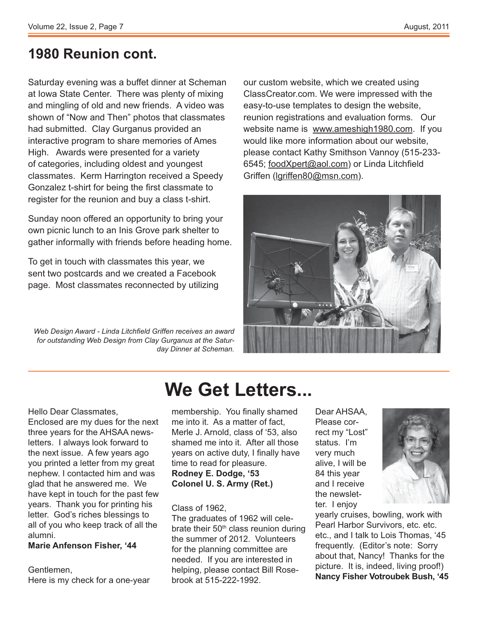### **1980 Reunion cont.**

Saturday evening was a buffet dinner at Scheman at Iowa State Center. There was plenty of mixing and mingling of old and new friends. A video was shown of "Now and Then" photos that classmates had submitted. Clay Gurganus provided an interactive program to share memories of Ames High. Awards were presented for a variety of categories, including oldest and youngest classmates. Kerm Harrington received a Speedy Gonzalez t-shirt for being the first classmate to register for the reunion and buy a class t-shirt.

Sunday noon offered an opportunity to bring your own picnic lunch to an Inis Grove park shelter to gather informally with friends before heading home.

To get in touch with classmates this year, we sent two postcards and we created a Facebook page. Most classmates reconnected by utilizing

Web Design Award - Linda Litchfield Griffen receives an award *for outstanding Web Design from Clay Gurganus at the Saturday Dinner at Scheman.*

our custom website, which we created using ClassCreator.com. We were impressed with the easy-to-use templates to design the website, reunion registrations and evaluation forms. Our website name is www.ameshigh1980.com. If you would like more information about our website, please contact Kathy Smithson Vannoy (515-233- 6545; foodXpert@aol.com) or Linda Litchfield Griffen (lgriffen80@msn.com).



Hello Dear Classmates, Enclosed are my dues for the next three years for the AHSAA newsletters. I always look forward to the next issue. A few years ago you printed a letter from my great nephew. I contacted him and was glad that he answered me. We have kept in touch for the past few years. Thank you for printing his letter. God's riches blessings to all of you who keep track of all the alumni.

#### **Marie Anfenson Fisher, '44**

Gentlemen, Here is my check for a one-year

### **We Get Letters...**

membership. You finally shamed me into it. As a matter of fact, Merle J. Arnold, class of '53, also shamed me into it. After all those years on active duty, I finally have time to read for pleasure. **Rodney E. Dodge, '53 Colonel U. S. Army (Ret.)**

#### Class of 1962,

The graduates of 1962 will celebrate their  $50<sup>th</sup>$  class reunion during the summer of 2012. Volunteers for the planning committee are needed. If you are interested in helping, please contact Bill Rosebrook at 515-222-1992.

Dear AHSAA, Please correct my "Lost" status. I'm very much alive, I will be 84 this year and I receive the newsletter. I enjoy



yearly cruises, bowling, work with Pearl Harbor Survivors, etc. etc. etc., and I talk to Lois Thomas, '45 frequently. (Editor's note: Sorry about that, Nancy! Thanks for the picture. It is, indeed, living proof!) **Nancy Fisher Votroubek Bush, '45**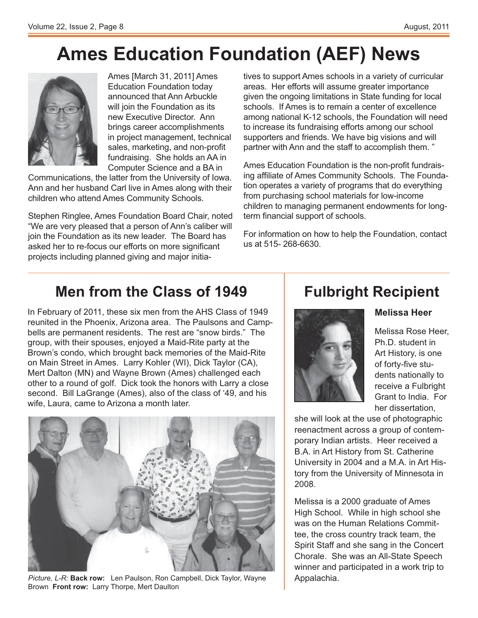# **Ames Education Foundation (AEF) News**



Ames [March 31, 2011] Ames Education Foundation today announced that Ann Arbuckle will join the Foundation as its new Executive Director. Ann brings career accomplishments in project management, technical sales, marketing, and non-profit fundraising. She holds an AA in Computer Science and a BA in

Communications, the latter from the University of Iowa. Ann and her husband Carl live in Ames along with their children who attend Ames Community Schools.

Stephen Ringlee, Ames Foundation Board Chair, noted "We are very pleased that a person of Ann's caliber will join the Foundation as its new leader. The Board has asked her to re-focus our efforts on more significant projects including planned giving and major initiatives to support Ames schools in a variety of curricular areas. Her efforts will assume greater importance given the ongoing limitations in State funding for local schools. If Ames is to remain a center of excellence among national K-12 schools, the Foundation will need to increase its fundraising efforts among our school supporters and friends. We have big visions and will partner with Ann and the staff to accomplish them. "

Ames Education Foundation is the non-profit fundraising affiliate of Ames Community Schools. The Foundation operates a variety of programs that do everything from purchasing school materials for low-income children to managing permanent endowments for long term financial support of schools.

For information on how to help the Foundation, contact us at 515- 268-6630.

### **Men from the Class of 1949**

In February of 2011, these six men from the AHS Class of 1949 reunited in the Phoenix, Arizona area. The Paulsons and Campbells are permanent residents. The rest are "snow birds." The group, with their spouses, enjoyed a Maid-Rite party at the Brown's condo, which brought back memories of the Maid-Rite on Main Street in Ames. Larry Kohler (WI), Dick Taylor (CA), Mert Dalton (MN) and Wayne Brown (Ames) challenged each other to a round of golf. Dick took the honors with Larry a close second. Bill LaGrange (Ames), also of the class of '49, and his wife, Laura, came to Arizona a month later.



*Picture, L-R:* **Back row:** Len Paulson, Ron Campbell, Dick Taylor, Wayne Brown **Front row:** Larry Thorpe, Mert Daulton

### **Fulbright Recipient**



Melissa Rose Heer, Ph.D. student in Art History, is one of forty-five students nationally to receive a Fulbright

Grant to India. For

**Melissa Heer**

her dissertation, she will look at the use of photographic reenactment across a group of contemporary Indian artists. Heer received a B.A. in Art History from St. Catherine University in 2004 and a M.A. in Art History from the University of Minnesota in 2008.

Melissa is a 2000 graduate of Ames High School. While in high school she was on the Human Relations Committee, the cross country track team, the Spirit Staff and she sang in the Concert Chorale. She was an All-State Speech winner and participated in a work trip to Appalachia.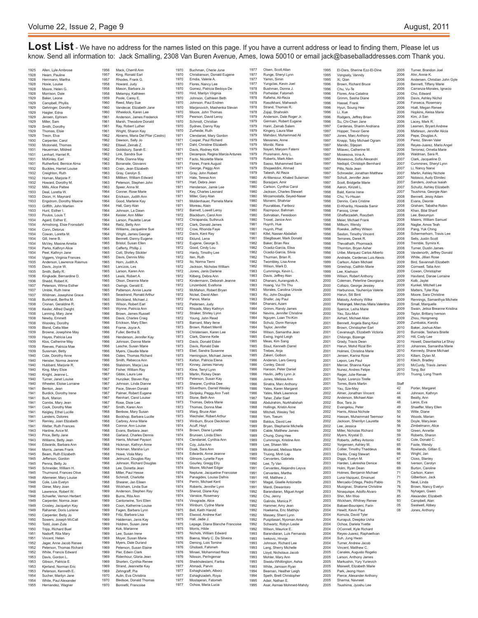Lost List - We have no address for the names listed on this page. If you have a current address or lead to finding them, Please let us know. Send all information to: Jack Smalling, 2308 Van Buren Avenue, Ames, Iowa 50010 or email jack@baseballaddresses.com Thank you.

1925 Allen, Lyle Ambrose<br>1928 Hearn, Pauline 1928 Hearn, Pauline<br>1928 Herrmann Ma 1928 Herrmann, Martha<br>1928 Hoxie Louise 1928 Hoxie, Louise 1928 Moore, Helen G. 1928 Morrison, Dale<br>1929 Baker Leone 1929 Baker, Leone<br>1929 Campbell, Ph 1929 Campbell, Phyllis 1929 Gehringer, Dorothy<br>1929 Haigler, Edna 1929 Haigler, Edna<br>1929 Jensen Enhra 1929 Jensen, Ephram 1929 Miller, Sam 1929 Smith, Dorothy<br>1929 Thomas, Flsie 1929 Thomas, Elsie<br>1929 Treon, Flya 1929 Treon, Elva<br>1930 Carnenter C 1930 Carpenter, Carol<br>1930 Medonald Thom 1930 Mcdonald, Thomas<br>1931 Heuerman Mildred 1931 Heuerman, Mildred 1931 Lenhart, Harriet R. 1931 McKinley, Earl<br>1931 Rutherford, Be 1931 Rutherford, Bernice Alma<br>1932 Buckles, Harriet Louise 1932 Buckles, Harriet Louise<br>1932 Buckles, Harriet Louise<br>1932 Creighton, Ruth Creighton, Ruth<br>1932 – Creighton, Ruth<br>1932 – Homan, Marjorie 1932 Homan, Marjorie F.<br>1932 Howard, Dorothy N. 1932 Howard, Dorothy M.<br>1932 Mills, Alice Pattee 1932 Mills, Alice Patte<br>1933 Deal Loretta W 1932 Iwillis, Allice Fatte<br>1933 Deal, Loretta W.<br>1933 Dixon, H. Mayna 1933 Dixon, H. Maynard<br>1933 Engetrom Dorothy 1933 Engstrom, Dorothy Maxine<br>1933 Griffith, John Martien  $\frac{1}{193}$ 1933 Hunt, Esther I.<br>1933 Poulos, Louis T. 1933 Poulos, Louis T. 1934 Agard, Esther E. 1934 Armstrong, Elsie Fronsdahl 1934 Conn, Delorus 1934 Cowan, Loretta M.<br>1934 Gill. Irene B. 1934 Gill, Irene B.<br>1934 McVey, Max 1934 – Gill, Irene D.<br>1934 – McVey, Maxine Amelia<br>1934 – Parks, Kathryn Alice 1934 Parks, Kathryn Alice<br>1934 - Peel Kathryn Jane 1934 Peel, Kathryn Jane 1934 Viggers, Virginia Frances 1935 Anderson, Lawrence Rasmus<br>1935 Davis, Joyce W. 1935 Davis, Joyce W.<br>1935 Smith, Betty R. 1935 Smith, Betty R<br>1936 Kingkade, Berr 1936 Kingkade, Bernardine D.<br>1936 Kingkade, Bernardine D.<br>1936 Shedd, Robert K. 1936 Shedd, Robert K.<br>1937 Peterson, Wilma 1937 Peterson, Wilma Esther<br>1937 Umble, Ruth Irene 1937 Umble, Ruth Irene 1937 Wildman, Josephine Grace<br>1938 Burkhardt, Bertha M. 1938 Burkhardt, Bertha M.<br>1938 Cronan Geraldine R 1938 Cronan, Geraldine R.<br>1938 Kester, Alfred Dwight 1938 Kester, Alfred Dwight 1938 Lanning, Mary Jane<br>1938 Newby, Emmett 1938 Newby, Emmett<br>1938 Wooslev, Doroth 1938 Woosley, Dorothy 1939 Bland, Celia Mae 1939 Browne, Josephine May<br>1939 Haves, Patricia Lea 1939 Hayes, Patricia Lea<br>1939 Klos, Catherine May 1939 Klos, Catherine May 1939 Reeves, Patricia Mae 1939 Sussman, Betty<br>1940 Cole Dorothy Au 1940 Cole, Dorothy Anne 1940 Hensler, Norma Jeanne 1940 Hubbard, Marjorie R<br>1940 King, Mary Elsie 1940 King, Mary Elsie<br>1940 Knight, Jeanne I 1940 Knight, Jeanne L. 1940 Turner, Janet Louise 1940 Wheeler, Eloise Lorraine<br>1941 Benton, Jean 1941 Benton, Jean<br>1941 Burdick, Doro<br>1941 Burk, Marion Burdick, Dorothy Irene 1941 Burk, Marion<br>1941 Combs. Mary 1941 Combs, Mary Jean<br>1941 Cook Dorothy Mae 1941 Cook, Dorothy Mae 1941 Keigley, Ethel Lucille 1941 Cook, Doloury M<br>1941 Keigley, Ethel Lu<br>1941 Remley, Joan Eli 1941 Remley, Joan Elizabeth<br>1941 - Wetter Ruth Frances 1941 Wetter, Ruth Frances<br>1943 Hanline, Avice M. 1943 Hanline, Avice M<br>1943 Price, Betty Jane 1943 Price, Betty Jane<br>1943 Williams, Betty Je 1943 Williams, Betty Jean<br>1944 Edwards, Barbara A 1944 Edwards, Barbara Ann<br>1944 Morris, James Frank 1944 Morris, James Frank<br>1945 Beam, Ruth Elizabet 1945 Beam, Ruth Elizabeth<br>1945 - Jefferson Gordon 1945 Jefferson, Gordon<br>1945 Penna, Betty Jo 1945 **Penna, Betty Jo<br>1945 Schneider, Willia** 1945 Schneider, William H.<br>1945 Thurmond, Frances ( 1945 Thurmond, Frances Olive<br>1948 Altemeier Mary Louise 1948 Altemeier, Mary Louise 1948 Cole, Lois Evelyn 1948 Giese, Mary Joan<br>1948 Lawrence, Robert 1948 Lawrence, Robert W.<br>1948 Schaefer. Vernon Her 1948 Schaefer, Vernon Herbert<br>1949 Carpenter, Norma Jean 1949 Carpenter, Norma Jean<br>1949 Croslev, Jacquelyn Kav 1949 Crosley, Jacquelyn Kay<br>1949 – Rahamer Doris Loriene 1949 Rahamer, Doris Lorie<br>1950 Carpenter, Betty Jo 1950 Carpenter, Betty Jo 1950 Sowers, Joseph McCall<br>1950 Todd, Joan Zula 1950 Todd, Joan Zula<br>1950 Tripp, Richard B 1950 Tripp, Richard Buel 1951 Nadorff, Rita Mary 1951 Vincent, Helen<br>1952 Jager, Anne Ja 1952 Jager, Anne Jacob Renee<br>1952 Peterson, Thomas Richar 1952 Peterson, Thomas Richard 1952 White, Francis Edward 1953 Davis, Gordon L.<br>1953 Gibson, Patricia 1953 Gibson, Patricia E.<br>1953 Kjerland, Norman 1953 Kjerland, Norman Eric 1953 Peterson, Kenneth E.<br>1954 Sucher, Marilyn Jane 1954 Sucher, Marilyn Jane<br>1954 - White Paul Alexande White, Paul Alexander Hernandez, Wagner

1956 Mack, Cherrill Ann<br>1957 King, Ronald Earl 1957 King, Ronald Earl<br>1957 Rhodes, Frank G 1957 Rhodes, Frank G.<br>1958 Howard Judy er<br>1958 Howard, Judy<br>1958 Mason, Barba 1958 Mason, Barbara<br>1958 Melampy, Kathle 1958 Melampy, Kathleen<br>1959 Poole Carey E Poole, Carey E. Peed, Mary Su 1960 Vandecar, Elizabeth Jane<br>1960 Wheelock, Karen Lee 1960 Wheelock, Karen Lee<br>1961 Anderson James Ereu 1961 Anderson, James Frederick 1961 Marsh, Theodore Donald 1961 Ray, Robert Luther<br>1961 Wright, Sharon Kay 1961 Wright, Sharon Kay<br>1962 Abrams Maria Del 1962 Abrams, Maria Del Pilar (Castro) 1962 Dawson, Sally Jo 1962 Eltawil, Zeinab Z.<br>1962 Goldsbury Sarah 1962 Goldsbury, Sarah E. 1962 Link, Sandra Sue 1962 Pirtle, Dianna May<br>1963 Bonanate, Giovan 1963 Bonanate, Giovanni<br>1963 Crain Jean Flizabe 1963 Crain, Jean Elizabeth 1963 Gray, Carolyn S. 1963 Milliken, William Edward<br>1963 Peterson, Stephen John 1963 Peterson, Stephen John<br>1963 Speer, Anna M. 1963 Speer, Anna M. 1964 Conner, Rose Marie 1964 Erickson, Judith Ann<br>1964 Good Marlene Kay 1964 Good, Marlene Kay<br>1964 Hall, Garv Alan Hall, Gary Alan 1964 Johnson, La Dawn<br>1964 Keisler. Ann Miller 1964 Keisler, Ann Miller<br>1964 - Larson, Paulette I 1964 Larson, Paulette Larue 1964 Reitz, Betty Ann 1964 Williams, Jacqueline Sue 1964 Wright, James George<br>1965 Bennett, Danny Eugen 1965 Bennett, Danny Eugene 1965 Bristol, Susan Ellen 1965 Cafferty, Phillip J. 1965 Cott, Shirley Stickler 1965 Davis, Dennis Milo 1965 Horn, Judith A.<br>1965 Lanczos, Les 1965 Lanczos, Les<br>1965 Larson Karen 1965 Larson, Karen Ann 1965 Lewis, Robert A. 1965 Olson, Deanna Marie<br>1965 Owings, Gerald E. 1965 Owings, Gerald E. 1965 Patterson, Annie Laurie 1965 Seastrand, Ronald Arthur 1965 Strickland, Michael J.<br>1965 Wilson, Robert Farl 1965 Wilson, Robert Earl<br>1965 Wynne, Patricia Anr Wynne, Patricia Ann 1966 Brown, James Russel<br>1966 Davis, Charles Craig 1966 Davis, Charles Craig<br>1966 Erickson Mary Ellen 1966 Erickson, Mary Eller<br>1966 Frame, Joyce A. 1966 Frame, Joyce A.<br>1966 Fuller, Bertha B. 1966 Fuller, Bertha B.<br>1966 Henderson, Jen 1966 Henderson, Jennifer Kay<br>1966 - Johnson Donna Marie 1966 Johnson, Donna Marie<br>1966 Lasche, Susan Marie 1966 Lasche, Susan Marie<br>1966 Myers, Claudia Marie 1966 Myers, Claudia Marie<br>1966 – Oates Thomas Rich 1966 Oates, Thomas Richard<br>1966 Smith, Rebecca Ann Smith, Rebecca Ann 1966 Stalstrom, Marja Lisa<br>1967 Fisher, William Rav 1967 Fisher, William Ray<br>1967 Gibbs Laura Lee 1967 Gibbs, Laura Lee 1967 Hunziker, Steven Ray<br>1967 Hunziker, Steven Ray<br>1967 Johnson, Linda Diann 1967 Johnson, Linda Dianne<br>1967 Pace, Steven Donald 1967 Pace, Steven Donald 1967 Palmer, Robert Eugene 1967 Reinhart, Carol Louise 1967 Rose, Dixie Lee<br>1967 Smith Karen An 1967 Smith, Karen Ann<br>1968 Benbow, Mary St 1968 Benbow, Mary Susan 1968 Bockhop, Barbara Lucille 1968 Carbrey, Anna Marie<br>1968 Connor Ann Louise Connor, Ann Louise 1968 Evans, Particulator<br>1968 Evans, Barbara Jean<br>1968 Garland, Charles De 1968 Garland, Charles Dennis<br>1968 Harris, Michael Pavson 1968 Harris, Michael Payson<br>1968 - Hickman Kathryn Anne 1968 Hickman, Kathryn Anne 1968 Hickman, Marsha Lyn 1968 Howe, Viola Mary<br>1968 - Jetmund Douglas 1968 Jetmund, Douglas Ray 1968 Johnson, Richard Douglas 1968 Lee, Donetta Jean<br>1968 Miller, Paul Hesse 1968 Miller, Paul Hesse<br>1968 Schmidt Charlotte 1968 Schmidt, Charlotte 1968 Shearer, Jan Eileen 1968 Wickham, Linda Sue<br>1969 Anderson, Stephen I 1969 Anderson, Stephen Ray<br>1969 - Burns, Rita Ann 1969 Burns, Rita Ann 1969 Cantonwine, Toni Ellen 1969 Coon, Katherine Louise<br>1969 Eagen, Barbara Lynn 1969 Fagen, Barbara Lynn<br>1969 Fritz, Barbara Lisa 1969 Fritz, Barbara Lisa 1969 Haldeman, Janis Kay<br>1969 Holdren, Susan Jane 1969 Holdren, Susan Jane<br>1969 Kok Marianne 1969 Kok, Marianne 1969 Lee, Susan Irene 1969 Moyer, Susan Marie<br>1969 Myers, Dale Durano 1969 Myers, Dale Durand<br>1969 – Peterson, Susan Ela 1969 Peterson, Susan Elaine 1969 Pier, Edwin Clark 1969 Ridenhour, Gloria Jean<br>1969 Shorten Cynthia Rene 1969 Shorten, Cynthia Renee<br>1969 Strand, Jeannette Kay Strand, Jeannette Kay 1969 Zehngraff, Pia<br>1970 Aulin, Eva Chri 1970 Aulin, Eva Christina<br>1970 Riedsoe Donald Th 1970 Bledsoe, Donald Thomas<br>1970 Bonnefil, Francoise 1970

1970 Buchman, Cherie June<br>1970 Christianson, Donald E 1970 Christianson, Donald Eugene<br>1970 Emdia, Valerie A. 1970 Emdia, Valerie A.<br>1970 Elores, Nancy Le 1970 Flores, Nancy Lee<br>1970 Flores, Nancy Lee<br>1970 Gomez, Patricia B 1970 Gomez, Patricia Bedrag<br>1970 Hird. Marilyn Virgin 1970 Hird, Marilyn Virginia<br>1970 - Johnson Cathleen B 1970 Johnson, Cathleen Beth<br>1970 Johnson, Paul Endren Johnson, Paul Endrer 1970 Marjanovich, Mashenka Stevan<br>1970 Moore, John Thomas 1970 Moore, John Thomas<br>1970 Pearson David Leroy 1970 Pearson, David Leroy 1970 Schmidt, Christian 1970 Sydnes, Danny Ray<br>1970 Zurheide, Ruth 1970 Zurheide, Ruth<br>1971 Clendaniel Ma 1971 Clendaniel, Mary Gordon<br>1971 Cooper, Paul Richard 1971 Cooper, Paul Richard<br>1971 Dahl, Christine Elizabe 1971 Dahl, Christine Elizabeth<br>1971 Davis Rodney Kirk er<br>1971 Davis, Rodney Kirk<br>1971 Decampos, Regina M Decampos, Regina Marcia Antunes 1971 Facto, Nicolette Marie<br>1971 Flores, Frank August 1971 Flores, Frank August<br>1971 George Peggy Ann 1971 George, Peggy Ann 1971 Gray, John Robert 1971 Hale, Teresa Ann<br>1971 Hart, Debra Jean 1971 Hart, Debra Jean<br>1971 Henderson Jami 1971 Henderson, Jamie Lee<br>1971 Kev. Charles Leonard 1971 Key, Charles Leonard<br>1971 Miller, Gary Alan 1971 Miller, Gary Alan<br>1971 Moldenhauer Pa 1971 Moldenhauer, Pamela Marie 1971 Moreau, Alain 1972 Barnett, Lowell Leroy 1972 Blackburn, Carol Ann<br>1972 Chirananda Suthinus 1972 Chirapanda, Suthiruck 1972 Clark, Donald James 1972 Crow, Rhonda Faye<br>1972 Davis, Kent Rav 1972 Davis, Kent Ray<br>1972 Eklund Lena 1972 Eklund, Lena 1972 Eugene, George S. 1972 Good, Cindy Lou<br>1972 Hardy Timothy Le 1972 Hardy, Timothy Lee 1972 Iten, Ruth 1972 Ito, Norma Tiemi<br>1972 Jackson, Nichola 1972 Jackson, Nicholas William<br>1972 Jones Janis Darlene 1972 Jones, Janis Darlene 1972 Kilberg, Debra Ann 1972 Kindermann, Deborah Jeanne<br>1972 Linzenbold, Evallona 1972 Linzenbold, Evallona<br>1972 McMahon Robert Br 1972 McMahon, Robert Bryan 1972 Nickel, David Allen 1972 Panos, Maria<br>1972 Pedersen Ju 1972 Pedersen, Judy<br>1972 Rhoads, Mary H 1972 Rhoads, Mary Kathryn 1972 Straker, Shirley Lynn<br>1972 Young, John Read 1972 Young, John Read 1973 Barnard, Mary Ilene 1973 Brown, Robert Merrill 1973 Christensen, Karen Lee<br>1973 Clark, Dianne Kelle 1973 Clark, Dianne Kelle<br>1973 Davis Donald Eldo 1973 Davis, Donald Eldon 1973 Davis, Ronald Dale 1973 Ebel, Sandra Susanne<br>1973 Hemingson, Michael J 1973 Hemingson, Michael James 1973 Kelton, Patricia Elena 1973 Kinney, James Harvey<br>1973 Kline, Terryl Lynn 1973 Kline, Terryl Lynn<br>1973 Martin Rickey De 1973 Martin, Rickey Dean 1973 Peterson, Susan Kay 1973 Shearer, Cynthia Dee<br>1973 Silverthorn, Darrell Wesler 1973 Silverthorn, Darrell Wesley 1973 Skripsky, Peggy,Ann Tveit 1973 Stone, Beth Ann 1973 Thomas, Debra Marie<br>1973 Thomas, Donna Mae 1973 Thomas, Donna Mae<br>1973 Warg, Bruce Alan 1973 Warg, Bruce Alan 1973 Wechsler, Robert Arthur 1973 Winburn, Bruce Dieckman<br>1974 – Acuff, Hovt 1974 Acuff, Hoyt 1974 Brown, Diane Lynette 1974 Brunsen, Linda Ellen<br>1974 Clendaniel, Cynthia / 1974 Clendaniel, Cynthia Ann<br>1974 Cov. Julia Ann 1974 Coy, Julia Ann<br>1974 Doak, Sara A 1974 Doak, Sara Ann<br>1974 Edwards, Anne 1974 Edwards, Anne Jeanne<br>1974 Gilmore, Lynette Fave 1974 Gilmore, Lynette Faye 1974 Gourley, Gregg Elry 1974 Moore, Michael Edgar<br>1974 Neptune, Jacqueline 1974 Neptune, Jacqueline Francoise<br>1974 Panagides, Louisa Dafnis 1974 Panagides, Louisa Dafnis 1974 Perrin, Michael Kent 1974 Roberts, Jennifer Lynn<br>1974 Sherod, Diane Kay 1974 Sherod, Diane Kay<br>1974 Vansice, Roseman 1974 Vansice, Rose<br>1974 Vinograde, Ali 1974 Vinograde, Alice<br>1974 Winburn, Cydne 1974 Winburn, Cydne Marie<br>1975 Bell, Keith Harold 1975 Bell, Keith Harold<br>1975 Elwood, Andrew K ood, Andrew Karl 1975 Hall, Jadie J.<br>1975 Lepage, Diar 1975 Lepage, Diana Blanche Francoise 1975 Morris, Hilde 1975 Nichols, William Edward 1976 Baena, Marly C. Da Silveira<br>1976 Deming, Lois Tomine 1976 Deming, Lois Tomine<br>1976 Ghobadi, Fahimeh 1976 Ghobadi, Fahimeh 1976 Minaei, Mohammad Reza 1976 Nilsson, PerIngemar<br>1976 Sheikholeslami, Fari 1976 Sheikholeslami, Fariba<br>1977 Ahmadi, Parvin 1977 Ahmadi, Parvin 1977 Eshaghzadeh, Alborz<br>1977 Eshaghzadeh, Roya 1977 Eshaghzadeh, Roya<br>1977 Mostaieran, Fatomet 1977 Mostajeran, Fatomeh 1977 Ochoa, Maria Lucia

1977 Olsen, Scott Allar<br>1977 Runge, Sheryl Ly 1977 Runge, Sheryl Lynn<br>1977 Yamin, Simin 1977 Yamin, Simin<br>1977 Yungclas, Ke 1977 Yungclas, Kevin Joe<br>1978 Bushman, Donna J. 1978 Bushman, Donna J.<br>1978 Bushman, Donna J. Porheidar, Fatomeh 1978<br>1978 Rafieha, Ali-Reza 1978 Rasolkhani, Mahwash 1978 Strand, Thomas R. 1978 Zojaji, Shahrokh<br>1979 Anderson, Dale I<br>1979 Germain, Robert 1979 Anderson, Dale Roger Jr. 1979 Germain, Robert Eugene 1979 Hariri, Zainab Salem<br>1979 Kingery, Laura Mae 1979 Kingery, Laura Mae 1979 Mahdavi, Muhammad Ali 1979 Messines, Anne<br>1979 Monibi, Rana 1979 Monibi, Rana<br>1979 Naveri Marya 1979 Nayeri, Maryam Fatemi 1979 Pruismann, Amy L. 1979 Roberts, Mark Allen 1979 Sasso, Mohammed Sami<br>1979 Shojaeddini, Ahmad 1979 Shojaeddini, Ahmad 1979 Tabesh, Ali Reza 1980 Al-Mansour, Khaled Sulaiman 1980 Borazjani, Amir<br>1980 Carlson, Cynthi<br>1980 Jackson, Charle 1980 Carlson, Cynthia Carol 1980 Jackson, Charles Stewart 1980 Mirzamostafa, Seyed-Naser<br>1980 Monemi, Shahriar 1980 Monemi, Shahriar<br>1980 Pourabbas, Farib Pourabbas, Fariborz 1980 Razmpour, Bahman 1980 Sohrabian, Fereidoor<br>1980 Troxel, Janice Ann<br>1981 Huynh, Hue 1980 Troxel, Janice Ann 1981 Huynh, Hue 1981 Huynh, Phat 1981 Kifel, Nasser Abdallah<br>1981 Stieglbauer, Mark Dor<br>1982 Baker, Brian Rex 1981 Stieglbauer, Mark Donald 1982 Baker, Brian Rex 1982 Ocadiz-Garcia, Elisa<br>1982 Ocadiz-Garcia, Silvia<br>1982 Thurman, Brian R.<br>1982 Twombley, Lisa Anne Ocadiz-Garcia, Silvia 1982 Thurman, Brian R. Twombley, Lisa Anne 1982 Wilson, Mark D.<br>1983 Cummings, Kevi 1983 Cummings, Kevin L. 1983 Davis, Jeffrey Alan 1983 Dhanani, Aurangzeb A. 1983 Hoang, Vui Thi Thu<br>1983 Morales, Carolina U<br>1983 Ro, John Douglas 1983 Morales, Carolina Urioste 1983 Ro, John Douglas 1983 Shafer, Jay Paul<br>1984 Dhanani, Azam 1984 Dhanani, Azam<br>1984 Grimm, Randy<br>1984 Nevins, Jennife 1984 Grimm, Randy James Nevins, Jennifer Christine 1984 Nguyen, Loan Thi-Kim 1984 Schulz, Donn Renaye 1984 Schulz, Donn R<br>1984 Taylor, Jennifer 1984 Wilson, Samantha Jean 1985 Ewing, Ingrid Leigh<br>1985 Meas, Kim Sang 1985 Meas, Kim Sang 1985 Stout, Kenneth Darrel 1985 Trebes, Anja<br>1985 Zakeri, Golbo<br>1986 Andersin, Lan<br>1986 Conley, David 1985 Zakeri, Golbon 1986 Andersin, Lars Georg Conley, David 1986 Hanson, Peter Daniel<br>1986 Havlin, Jeffry Lynn Jr. 1986 Havlin, Jeffry Lynn Jr. 1986 Jones, Melissa Ann 1986 Sinatra, Marc Anthony 1986 Yates, Karen Margaret<br>1986 Yates, Mark Lawrence<br>1987 Taher, Zafer Saef 1989, March Ha<br>Yates, Mark Law 1987 Takes, Mark Eawn<br>1987 Taher, Zafer Saef<br>1988 Abdulrahim, Nurkl 1988 Abdulrahim, Nurkhalishah<br>1988 Hollings Kristin Anne 1988 Hollings, Kristin Anne 1988 Mitchell, Wesley Ted 1988 Yom, Toeum 1989 Baldus, David Lee<br>1989 Bryan, Stephanie<br>1989 Cable, Matthew Ja 1989 Bryan, Stephanie Michelle 1989 Cable, Matthew James 1989 Chung, Dong Hee<br>1989 Cummings, Kristin 1989 Cummings, Kristine Ann 1989 Lee, Shawn Min 1989 Mcdonald, Melissa Marie 1989 Truong, Minh Lap<br>1990 Cervantes, Gabrie<br>1990 Lee, Ty Van<br>1991 Cervantes, Alejan 1990 Cervantes, Gabriela **Lee, Ty Van** 1991 — ⊖oo, iy vari<br>1991 — Cervantes, Alejandro Leyva<br>1991 — Cervantes, Martha 1991 Cervantes, Martha<br>1991 Hill, Matthew J.<br>1991 Magat, Giselle Anto 1991 Hill, Matthew J. 1991 Magat, Giselle Antoinette 1991 Mardi, Dewantoro<br>1992 Barandiaran, Migu 1992 Barandiaran, Miguel Angel<br>1992 Chu, Jenny<br>1992 Galindo, Monica P. 1992 Chu, Jenny 1992 Galindo, Monica P. 1992 Hammer, Amy Jean<br>1992 Hoekema Fric Matt 1992 Hoekema, Eric Matthijs 1992 Massey, Sherri Lynn 1992 Puspitasari, Nyoman Anie 1992 Schwartz, Robyn Leslie<br>1992 Wilson, Maurice E.<br>1993 Barandiaran, Luis Ferna 1992 Wilson, Maurice E. 1993 Barandiaran, Luis Fernando 1993 Ivekovic, Hrvoje<br>1993 Johnson, Richan 1993 Johnson, Richard Lee<br>1993 Lang, Sherry Michelle 1993 Lang, Sherry Michelle 1993 Lloyd, Nicholaus Jacob 1993 Mohler, Mary Ann<br>1993 Siwatu-Whittingtor<br>1993 White, Jamison Ry<br>1994 Beaman, Heather 1993 Siwatu-Whittington, Ashia 1993 White, Jamison Ryan 1994 Beaman, Heather Leigh<br>1994 Speth, Brett Christopher 1994 Speth, Brett Christopher<br>1995 Adair, Nathan F. 1995 Adair, Nathan E. 1996, Asmaa Mohmed-Mahdy 1995 El-Dars, Sherine Ezz-El-Dine<br>1995 Vongsaly, Vanndy 1995 Vongsaly, Vanndy<br>1995 Xi, Qian 1995 Xi, Qian 1996 Brown, Richard Bruce 1996 Chu, Vu-Te 1996 Flores, Ana Catalina<br>1996 Grimm Sasha Diane 1996 Grimm, Sasha Diane 1996 Hassel, Frank 1996 Hyun, Soung Hee<br>1996 Li. Xue 1996 Li, Xue<br>1996 Rodgers, Jeffrev Briar 1996 Rodgers, Jeffrey Brian 1996 Su, Chi-Chen Jane 1997 Cardenas, Sharim Andriana<br>1997 Hopper, Trevor Gene 1997 Hopper, Trevor Gene<br>1997 Hopes Marc Anthony 1997 Jones, Marc Anthon<br>1997 Knapp, Toby Michae 1997 Knapp, Toby Michael Ogram<br>1997 Mandic, Stiepan 1997 Mandic, Stjepan<br>1997 Milayec Catherin 1997 Milavec, Catherine M<br>1997 Mosesova, Irina A. Mosesova, Irina A. 1997<br>1997 Mosesova, Sofia Alexandri 1997 Nedopil, Christoph Bernhard<br>1997 Pitts Nola Jean 1997 Pitts, Nola Jean 1997 Schroeder, Jonathan Matthew 1997 Schutt, Jennifer Jean<br>1997 Scott, Bridgette Marie 1997 Scott, Bridgette Marie<br>1998 Aaron, Kinzell L. 1998 Aaron, Kinzell L. 1998 Bald, Kerrie Irene 1998 Chu, Yu-Hsuan<br>1998 Dennis Cara C 1998 Dennis, Cara Cristine<br>1998 El-Khariby, Howaida El-Khariby, Howaida Sami 1998 Farooq, Umer<br>1998 Ghaffarzadeh 1998 Ghaffarzadeh, Roozbeh<br>1998 Meier, Michael Frank<br>1998 Milburn, Wendy Meier, Michael Frank 1998 Milburn, Wendy<br>1998 Roeske, Jeffrey 1998 Roeske, Jeffrey Wilson<br>1998 Sexton, Timothy Vince 1998 Sexton, Timothy Vincent<br>1998 Terrones Derek R 1998 Terrones, Derek R. 1998 Thevathath, Phornsack 1998 Thornton, Bryan Asher<br>1998 Ulribe Marquez Carlos 1998 Uribe, Marquez Carlos Alberto<br>1999 Andrade, Cardenas Luis Alexi 1999 Andrade, Cardenas Luis Alexis 1999 Carlson, Adam Michael 1999 Grieshop, Caithlin Marie<br>1999 Lee Kiwhoon 1999 Lee, Kiwhoon 1999 Wilson, Robert Anthony 2000 Coleman, Peterline Georgiana<br>2000 Collazo, George Jessiev 2000 Collazo, George Jessiey<br>2000 Harbunova Yauheniya \ 2000 Harbunova, Yauheniya Valerie 2000 Harun, Siti Binti 2000 Malooly, Anthony Wilke<br>2000 Pietrangeli Merchau Ma 2000 Pietrangeli, Merchau Maria Valentina 2000 Spence, Leiha Marie 2000 Yau, Szu-Mun 2001 Airhart, Michael Allan<br>2001 - Bennett Angela Bang 2001 Bennett, Angela Bang Keul 2001 Brown, Christopher Earl 2001 Cavanaugh, Elizabeth Victoria<br>2001 Chilongo, Bizenge 2001 Chilongo, Bizenge<br>2001 Grady Travis Dear 2001 Grady, Travis Dean 2001 Harun, Mohd Rizal Bin 2001 Holmes, Christina Marie<br>2001 - Jensen Karina Rose ender Jensen, Karina Rosen<br>2001 - Lepon, Les Paul Lepon, Les Pa 2001 Mercer, Shanna Kaye 2001 Nunez, Andres Felipe<br>2001 Reger Julie Renae 2001 Reger, Julie Renae 2001 Taylor, Lorenzo Tirelle 2001 Torres, Boris Martin<br>2001 Yau, Sze-Mav 2001 Yau, Sze-May<br>2002 Almer Jonatha 2002 Almer, Jonathan Vincent 2002 Anderson, Michael Alan 2002 Box, Tara Jo<br>2002 Evangelou P 2002 Evangelou, Peter 2002 Harris, Alissa Nichole 2002 Hassan, Muhammad Taemoor 2002 Jackson, Sherrilyn Laurette<br>2002 Lee Jessica 2002 Lee, Jessica 2002 Miller, Nicholas Richard 2002 Myers, Krystal D.<br>2002 Roberts, Jeffrey A 2002 Roberts, Jeffrey Antonio<br>2002 Yorgensen Ashley M 2002 Yorgensen, Ashley M. 2003 Collier, Timothy Thaddeus 2003 Danks, Craig Stewart<br>2003 Diggs Evelyn M 2003 Diggs, Evelyn M. 2003 Harden, Lakreshia Denice 2003 Holm, Ryan Dean<br>2003 Holmes, Beniamin 2003 Holmes, Benjamin Michael<br>2003 Luna-Vazquez, Emanuel 2003 Luna-Vazquez, Emanuel 2003 Mercado-Ortega, Pedro Pablo 2003 Musignac, Shalome Christine<br>2003 Ninaguispe, Adolfo Alvaro 2003 Ninaquispe, Adolfo Alvaro<br>2003 Shin Min Woo 2003 Shin, Min Woo 2003 Wickham, Whitney Renee 2004 Babaei-Bourajeni, Farin<br>2004 Hewitt Kevin Paul eca<br>2004 Hewitt, Kevin Paul<br>2004 Komula, David Tyle 2004 Komula, David Tyle<br>2004 Kunapuli, Deepika 2004 Kunapuli, Deepika Usha<br>2004 Ochoa, Dariela Yvette 2004 Ochoa, Dariela Yvette<br>2004 OConnell Kyle Richar 2004 OConnell, Kyle Richard<br>2004 Reyes-Juarez, Raphael 2004 Reyes-Juarez, Raphaelly<br>2004 Suh, Jung Hwan 2004 Suh, Jung Hwan<br>2004 Turner. Andrew J 2004 Turner, Andrew Jacob<br>2004 Vincent Matthew C. 2004 Vincent, Matthew C.<br>2005 Canales, Augusto Ro 2005 Canales, Augusto Rogelio<br>2005 Larson, Anthony James 2005 Larson, Anthony James<br>2005 Markushin Yury Yurievi 2005 Markushin, Yury Yurievich 2005 Maxwell, Elizabeth Marie 2005 Park, Jeong Hoon<br>2005 Pierce, Alexander 2005 Pierce, Alexander Anthony<br>2005 Sharma Navneet Sharma, Navneet 2005 Tsushima, Jyoshu Lee

2005 Turner, Brandon Joel<br>2006 Ahn, Annie K. 2006 Ahn, Annie K.<br>2006 Andersen, Ch 2006 Andersen, Christian John Gyle<br>2006 Bennett, Tiffany Marie 2006 Bennett, Tiffany Marie 2006 Carranza-Morales, Ignacio 2006 Cho, Edward<br>2006 Davis Ashley 2006 Davis, Ashley Nicho<br>2006 Fonseca, Rosemary<br>2006 Hiatt, Megan Renee 2006 Fonseca, Rosemary 2006 Hiatt, Megan Renee 2006 Hopkins, Aleisa Marie<br>2006 Kim, Ji San<br>2006 Lacey, Mark R. Kim, Ji San 2006 Lacey, Mark R.<br>2006 Lacey, Mark R.<br>2006 Leamen, Bryan 2006 Leamen, Bryant Andrew<br>2006 Matteson, Jennifer Alicia 2006 Matteson, Jennifer Alicia<br>2006 Pepe, Douglas A. 2006 Pepe, Douglas A. 2006 Perez, Steven Valer 2006 Reyes-Juarez, Mario Angel<br>2006 Terronez, Omelia Marie 2006 Terronez, Omelia Marie<br>2006 Waldman, Sara R.<br>2007 Clark, Jacqueline D. Valdman, Sara R. 2007 Clark, Jacqueline D.<br>2007 Cummines, Shervl 2007 Cummines, Sheryl Lynn<br>2007 Li. Nancy Nanxi 2007 Li, Nancy Nanxi 2007 Martin, Ashley Nichole<br>2007 Nolasco, Audy Elimile 2007 Nolasco, Audy Elimilec<br>2007 Sanders, Joshua Isaial 2007 Sanders, Joshua Isaiah<br>2007 Schultz, Ashley Elizabe 2007 Schultz, Ashley Elizabeth<br>2007 Tsushima, Georgie Alan 2007 Tsushima, Georgie Alan<br>2008 Bennett, Jessy Adam 2008 Bennett, Jessy Adam<br>2008 Evans Deonte 2008 Evans, Deonte<br>2008 Graham, Taba<br>2008 Khan, Bilal Sh 2008 Graham, Tabatha Robin 2008 Khan, Bilal Sharif 2008 Lee, Beoumjun<br>2008 Maiers, William 2008 Maiers, William Sar<br>2008 Nagbe, Amos Teah 2008 Nagbe, Amos Teah<br>2008 Pang, Yuk Ching 2008 Pang, Yuk Ching<br>2008 Schermerhorn, Tr. 2008 Schermerhorn, Travis Lee<br>2008 Sells, Justin Scott 2008 Sells, Justin Scott<br>2008 Tremble, Symira H 2008 Tremble, Symira K.<br>2008 Turner. Dustin Jam 2008 Turner, Dustin James<br>2008 Vandenorth Jeffrey D 2008 Vandenorth, Jeffrey Donald<br>2008 White, Jillian Rose<br>2009 Bird, Savannah Elizabeth Vanconomi, com 2009 Bird, Savannah Elizabeth<br>2009 Cornwell, Tatia Ann 2009 Cornwell, Tatia Ann<br>2009 Cowan, Christophe 2009 Cowan, Christopher 2009 Haviland, Danae Lorraine 2009 Kolb, Jaylei<br>2009 Kunkel, Mitc 2009 Kunkel, Mitchell Lee<br>2009 Matters, Tyler Ray 2009 Matters, Tyler Ray<br>2009 Moore, Sara Christ 2009 Moore, Sara Christ<br>2009 Rennings, Samant 2009 Rennings, Samanthya Michele<br>2009 Small Marquelle 2009 Small, Marquelle<br>2009 Swain, Jelisa Brea 2009 Swain, Jelisa Breanne Kristin<br>2009 Taylor, Brittany Iverson 2009 Taylor, Brittany Iverson<br>2009 Zhou. Honamena 2009 Zhou, Hongmeng<br>2009 Zumbakis Karolis 2009 Zumbakis, Karoli<br>2010 Baker, Joshua Al 2010 Baker, Joshua Al<br>2010 Burnside, Tashar 2010 Burnside, Tashara Brielle<br>2010 Hill, Cody Lee 2010 Hill, Cody Lee<br>2010 Howell, Dawnt 2010 Howell, Dawntashia Le'Shay<br>2010 Johannes, Samantha Marie 2010 Johannes, Samantha Marie 2010 Johannes, Samantha Marie 2010 Kennedy, Shane Michael 2010 Kennedy, Shane Michael<br>2010 Killam Dylan M 2010 Killam, Dylan M<br>2010 Kleich, Bradley 2010 Kleich, Bradley<br>2010 Kleich, Bradley 2010 McCurdy, Travis James<br>2010 Tong, Bol 2010 Tong, Bol<br>2010 Truong, L Truong, Long Thanh Staff<br>42 42 Porter, Margaret<br>44 Johnson, Kathrv

44 Johnson, Kathryn 46 Beatty, Ann 48 Laros, Eva<br>49 Shaeffer M 49 Shaeffer, Mary Eller<br>50 Witte, Diane<br>54 Woods, Marian 50 Witte, Diane 54 Woods, Marian 56 Doyle, MaryJear<br>56 Zimbelmann, Alio<br>59 Green, Annette Zimbelmann, Alice 59 Green, Annette<br>59 Roberts, Sharo 59 Roberts, Sharon<br>62 Cole, Donald C. 62 Cole, Donald C<br>65 Foote, Wendy<br>66 Rowlands, Gillia 65 Foote, Wendy 66 Rowlands, Gillian E. 66 Wright, Jan<br>67 Closs Stan 67 Closs, Stanley<br>68 Iverson, Carol<br>69 Burton, Caroli Iverson, Carolyn 69 Burton, Caroline<br>71 Carlson, Karen 71 Carlson, Karen<br>71 Gilbertson, Jac 71 Gilbertson, Jack<br>75 Neal, Linda 75 Neal, Linda<br>76 Brown, Nan 76 Brown, Nancy Evelyn<br>78 Nyhagen, Gwen 78 Nyhagen, Gwen 85 Alexander, Elizabeth 85 Alexander, Eliz<br>93 Campbell, Alan<br>05 Swalwell, Abbe 05 Swalwell, Abbey<br>08 Jones Anthony Jones, Anthony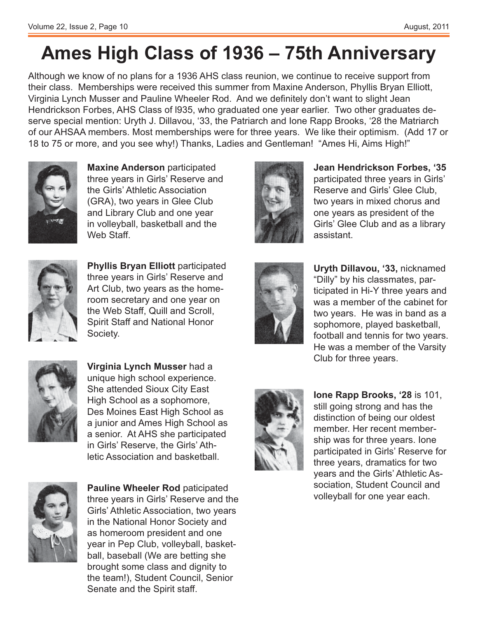# **Ames High Class of 1936 – 75th Anniversary**

Although we know of no plans for a 1936 AHS class reunion, we continue to receive support from their class. Memberships were received this summer from Maxine Anderson, Phyllis Bryan Elliott, Virginia Lynch Musser and Pauline Wheeler Rod. And we definitely don't want to slight Jean Hendrickson Forbes, AHS Class of l935, who graduated one year earlier. Two other graduates deserve special mention: Uryth J. Dillavou, '33, the Patriarch and Ione Rapp Brooks, '28 the Matriarch of our AHSAA members. Most memberships were for three years. We like their optimism. (Add 17 or 18 to 75 or more, and you see why!) Thanks, Ladies and Gentleman! "Ames Hi, Aims High!"



**Maxine Anderson** participated three years in Girls' Reserve and the Girls' Athletic Association (GRA), two years in Glee Club and Library Club and one year in volleyball, basketball and the Web Staff.



**Phyllis Bryan Elliott** participated three years in Girls' Reserve and Art Club, two years as the homeroom secretary and one year on the Web Staff, Quill and Scroll, Spirit Staff and National Honor Society.



**Jean Hendrickson Forbes, '35** participated three years in Girls' Reserve and Girls' Glee Club, two years in mixed chorus and one years as president of the Girls' Glee Club and as a library assistant.



Uryth Dillavou, '33, nicknamed "Dilly" by his classmates, participated in Hi-Y three years and was a member of the cabinet for two years. He was in band as a sophomore, played basketball, football and tennis for two years. He was a member of the Varsity Club for three years.



Virginia Lynch Musser had a unique high school experience. She attended Sioux City East High School as a sophomore, Des Moines East High School as a junior and Ames High School as a senior. At AHS she participated in Girls' Reserve, the Girls' Athletic Association and basketball.



**Pauline Wheeler Rod paticipated** three years in Girls' Reserve and the Girls' Athletic Association, two years in the National Honor Society and as homeroom president and one year in Pep Club, volleyball, basketball, baseball (We are betting she brought some class and dignity to the team!), Student Council, Senior Senate and the Spirit staff.



**Ione Rapp Brooks, '28** is 101, still going strong and has the distinction of being our oldest member. Her recent membership was for three years. Ione participated in Girls' Reserve for three years, dramatics for two years and the Girls' Athletic Association, Student Council and volleyball for one year each.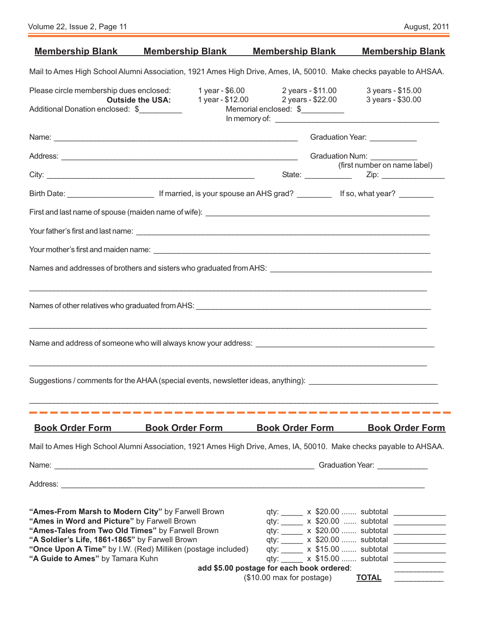| Volume 22, Issue 2, Page 11 |  |  |  |  |  |  |
|-----------------------------|--|--|--|--|--|--|
|-----------------------------|--|--|--|--|--|--|

|                                                                                                                                                                                                                                            | <b>Membership Blank Membership Blank</b>                                                                       | <b>Membership Blank</b>                                                | <b>Membership Blank</b>                                                                                                                                                                                                                                                                                                                                                                                                                                                                                                                                                |  |  |  |
|--------------------------------------------------------------------------------------------------------------------------------------------------------------------------------------------------------------------------------------------|----------------------------------------------------------------------------------------------------------------|------------------------------------------------------------------------|------------------------------------------------------------------------------------------------------------------------------------------------------------------------------------------------------------------------------------------------------------------------------------------------------------------------------------------------------------------------------------------------------------------------------------------------------------------------------------------------------------------------------------------------------------------------|--|--|--|
|                                                                                                                                                                                                                                            |                                                                                                                |                                                                        | Mail to Ames High School Alumni Association, 1921 Ames High Drive, Ames, IA, 50010. Make checks payable to AHSAA.                                                                                                                                                                                                                                                                                                                                                                                                                                                      |  |  |  |
| Please circle membership dues enclosed:<br>Additional Donation enclosed: \$                                                                                                                                                                | <b>Outside the USA:</b>                                                                                        | 1 year - \$6.00 2 years - \$11.00<br>Memorial enclosed: \$             | 3 years - \$15.00<br>1 year - \$12.00 2 years - \$22.00 3 years - \$30.00                                                                                                                                                                                                                                                                                                                                                                                                                                                                                              |  |  |  |
|                                                                                                                                                                                                                                            |                                                                                                                |                                                                        | Graduation Year: ____________                                                                                                                                                                                                                                                                                                                                                                                                                                                                                                                                          |  |  |  |
|                                                                                                                                                                                                                                            |                                                                                                                |                                                                        |                                                                                                                                                                                                                                                                                                                                                                                                                                                                                                                                                                        |  |  |  |
|                                                                                                                                                                                                                                            |                                                                                                                |                                                                        | (first number on name label)                                                                                                                                                                                                                                                                                                                                                                                                                                                                                                                                           |  |  |  |
|                                                                                                                                                                                                                                            |                                                                                                                |                                                                        |                                                                                                                                                                                                                                                                                                                                                                                                                                                                                                                                                                        |  |  |  |
|                                                                                                                                                                                                                                            |                                                                                                                |                                                                        |                                                                                                                                                                                                                                                                                                                                                                                                                                                                                                                                                                        |  |  |  |
|                                                                                                                                                                                                                                            |                                                                                                                |                                                                        |                                                                                                                                                                                                                                                                                                                                                                                                                                                                                                                                                                        |  |  |  |
|                                                                                                                                                                                                                                            |                                                                                                                |                                                                        |                                                                                                                                                                                                                                                                                                                                                                                                                                                                                                                                                                        |  |  |  |
|                                                                                                                                                                                                                                            |                                                                                                                |                                                                        |                                                                                                                                                                                                                                                                                                                                                                                                                                                                                                                                                                        |  |  |  |
|                                                                                                                                                                                                                                            |                                                                                                                |                                                                        |                                                                                                                                                                                                                                                                                                                                                                                                                                                                                                                                                                        |  |  |  |
|                                                                                                                                                                                                                                            | Name and address of someone who will always know your address: Name and and address and address of someone who |                                                                        |                                                                                                                                                                                                                                                                                                                                                                                                                                                                                                                                                                        |  |  |  |
|                                                                                                                                                                                                                                            |                                                                                                                |                                                                        | Suggestions / comments for the AHAA (special events, newsletter ideas, anything): ____________________________                                                                                                                                                                                                                                                                                                                                                                                                                                                         |  |  |  |
|                                                                                                                                                                                                                                            |                                                                                                                |                                                                        |                                                                                                                                                                                                                                                                                                                                                                                                                                                                                                                                                                        |  |  |  |
| <b>Book Order Form</b>                                                                                                                                                                                                                     | <b>Book Order Form</b>                                                                                         | <b>Book Order Form</b>                                                 | <b>Book Order Form</b>                                                                                                                                                                                                                                                                                                                                                                                                                                                                                                                                                 |  |  |  |
|                                                                                                                                                                                                                                            |                                                                                                                |                                                                        | Mail to Ames High School Alumni Association, 1921 Ames High Drive, Ames, IA, 50010. Make checks payable to AHSAA.                                                                                                                                                                                                                                                                                                                                                                                                                                                      |  |  |  |
|                                                                                                                                                                                                                                            |                                                                                                                |                                                                        |                                                                                                                                                                                                                                                                                                                                                                                                                                                                                                                                                                        |  |  |  |
|                                                                                                                                                                                                                                            |                                                                                                                |                                                                        |                                                                                                                                                                                                                                                                                                                                                                                                                                                                                                                                                                        |  |  |  |
| "Ames-From Marsh to Modern City" by Farwell Brown<br>"Ames in Word and Picture" by Farwell Brown<br>"Ames-Tales from Two Old Times" by Farwell Brown<br>"A Soldier's Life, 1861-1865" by Farwell Brown<br>"A Guide to Ames" by Tamara Kuhn | "Once Upon A Time" by I.W. (Red) Milliken (postage included)                                                   | add \$5.00 postage for each book ordered:<br>(\$10.00 max for postage) | qty: x \$20.00  subtotal<br><u>and the company of the company of the company of the company of the company of the company of the company of the company of the company of the company of the company of the company of the company of the company of the com</u><br>qty: ______ x \$20.00  subtotal<br><u> 1990 - Johann Barnett, fransk politiker</u><br>qty: x \$20.00  subtotal<br><u> 1990 - Johann Barbara, martx</u><br>qty: x \$20.00  subtotal<br><u> 1990 - Johann Barbara, martx</u><br>qty: x \$15.00  subtotal<br>qty: x \$15.00  subtotal<br><b>TOTAL</b> |  |  |  |